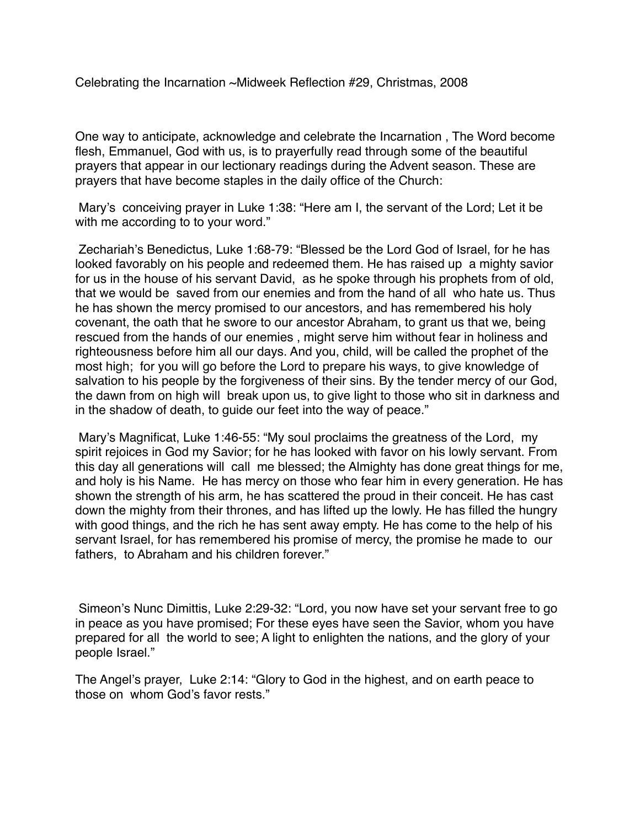Celebrating the Incarnation ~Midweek Reflection #29, Christmas, 2008

One way to anticipate, acknowledge and celebrate the Incarnation , The Word become flesh, Emmanuel, God with us, is to prayerfully read through some of the beautiful prayers that appear in our lectionary readings during the Advent season. These are prayers that have become staples in the daily office of the Church:

 Mary's conceiving prayer in Luke 1:38: "Here am I, the servant of the Lord; Let it be with me according to to your word."

 Zechariah's Benedictus, Luke 1:68-79: "Blessed be the Lord God of Israel, for he has looked favorably on his people and redeemed them. He has raised up a mighty savior for us in the house of his servant David, as he spoke through his prophets from of old, that we would be saved from our enemies and from the hand of all who hate us. Thus he has shown the mercy promised to our ancestors, and has remembered his holy covenant, the oath that he swore to our ancestor Abraham, to grant us that we, being rescued from the hands of our enemies , might serve him without fear in holiness and righteousness before him all our days. And you, child, will be called the prophet of the most high; for you will go before the Lord to prepare his ways, to give knowledge of salvation to his people by the forgiveness of their sins. By the tender mercy of our God, the dawn from on high will break upon us, to give light to those who sit in darkness and in the shadow of death, to guide our feet into the way of peace."

 Mary's Magnificat, Luke 1:46-55: "My soul proclaims the greatness of the Lord, my spirit rejoices in God my Savior; for he has looked with favor on his lowly servant. From this day all generations will call me blessed; the Almighty has done great things for me, and holy is his Name. He has mercy on those who fear him in every generation. He has shown the strength of his arm, he has scattered the proud in their conceit. He has cast down the mighty from their thrones, and has lifted up the lowly. He has filled the hungry with good things, and the rich he has sent away empty. He has come to the help of his servant Israel, for has remembered his promise of mercy, the promise he made to our fathers, to Abraham and his children forever."

 Simeon's Nunc Dimittis, Luke 2:29-32: "Lord, you now have set your servant free to go in peace as you have promised; For these eyes have seen the Savior, whom you have prepared for all the world to see; A light to enlighten the nations, and the glory of your people Israel."

The Angel's prayer, Luke 2:14: "Glory to God in the highest, and on earth peace to those on whom God's favor rests."